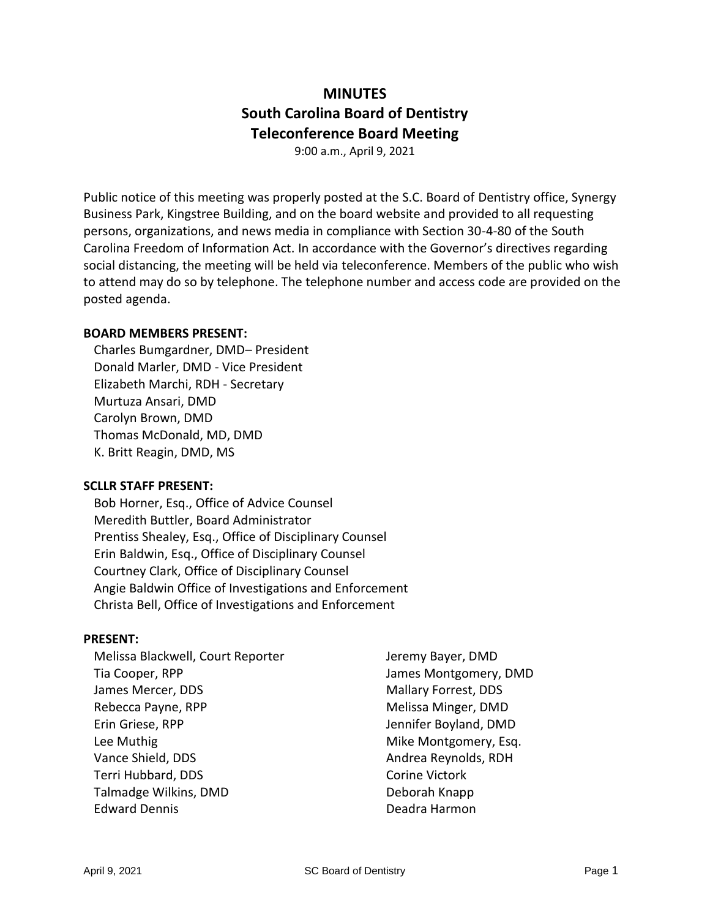# **MINUTES South Carolina Board of Dentistry Teleconference Board Meeting**

9:00 a.m., April 9, 2021

Public notice of this meeting was properly posted at the S.C. Board of Dentistry office, Synergy Business Park, Kingstree Building, and on the board website and provided to all requesting persons, organizations, and news media in compliance with Section 30-4-80 of the South Carolina Freedom of Information Act. In accordance with the Governor's directives regarding social distancing, the meeting will be held via teleconference. Members of the public who wish to attend may do so by telephone. The telephone number and access code are provided on the posted agenda.

#### **BOARD MEMBERS PRESENT:**

Charles Bumgardner, DMD– President Donald Marler, DMD - Vice President Elizabeth Marchi, RDH - Secretary Murtuza Ansari, DMD Carolyn Brown, DMD Thomas McDonald, MD, DMD K. Britt Reagin, DMD, MS

#### **SCLLR STAFF PRESENT:**

Bob Horner, Esq., Office of Advice Counsel Meredith Buttler, Board Administrator Prentiss Shealey, Esq., Office of Disciplinary Counsel Erin Baldwin, Esq., Office of Disciplinary Counsel Courtney Clark, Office of Disciplinary Counsel Angie Baldwin Office of Investigations and Enforcement Christa Bell, Office of Investigations and Enforcement

### **PRESENT:**

| Melissa Blackwell, Court Reporter | Jeremy Bayer, DMD     |
|-----------------------------------|-----------------------|
| Tia Cooper, RPP                   | James Montgomery, DMD |
| James Mercer, DDS                 | Mallary Forrest, DDS  |
| Rebecca Payne, RPP                | Melissa Minger, DMD   |
| Erin Griese, RPP                  | Jennifer Boyland, DMD |
| Lee Muthig                        | Mike Montgomery, Esq. |
| Vance Shield, DDS                 | Andrea Reynolds, RDH  |
| Terri Hubbard, DDS                | <b>Corine Victork</b> |
| Talmadge Wilkins, DMD             | Deborah Knapp         |
| <b>Edward Dennis</b>              | Deadra Harmon         |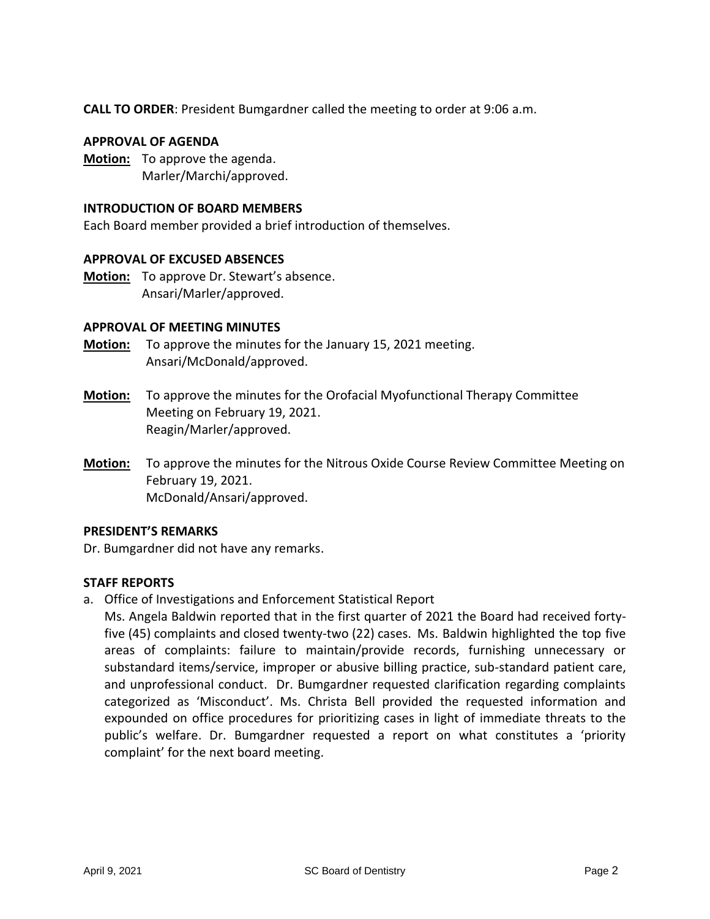**CALL TO ORDER**: President Bumgardner called the meeting to order at 9:06 a.m.

#### **APPROVAL OF AGENDA**

**Motion:** To approve the agenda. Marler/Marchi/approved.

#### **INTRODUCTION OF BOARD MEMBERS**

Each Board member provided a brief introduction of themselves.

#### **APPROVAL OF EXCUSED ABSENCES**

**Motion:** To approve Dr. Stewart's absence. Ansari/Marler/approved.

#### **APPROVAL OF MEETING MINUTES**

- **Motion:** To approve the minutes for the January 15, 2021 meeting. Ansari/McDonald/approved.
- **Motion:** To approve the minutes for the Orofacial Myofunctional Therapy Committee Meeting on February 19, 2021. Reagin/Marler/approved.
- **Motion:** To approve the minutes for the Nitrous Oxide Course Review Committee Meeting on February 19, 2021. McDonald/Ansari/approved.

#### **PRESIDENT'S REMARKS**

Dr. Bumgardner did not have any remarks.

### **STAFF REPORTS**

a. Office of Investigations and Enforcement Statistical Report

Ms. Angela Baldwin reported that in the first quarter of 2021 the Board had received fortyfive (45) complaints and closed twenty-two (22) cases. Ms. Baldwin highlighted the top five areas of complaints: failure to maintain/provide records, furnishing unnecessary or substandard items/service, improper or abusive billing practice, sub-standard patient care, and unprofessional conduct. Dr. Bumgardner requested clarification regarding complaints categorized as 'Misconduct'. Ms. Christa Bell provided the requested information and expounded on office procedures for prioritizing cases in light of immediate threats to the public's welfare. Dr. Bumgardner requested a report on what constitutes a 'priority complaint' for the next board meeting.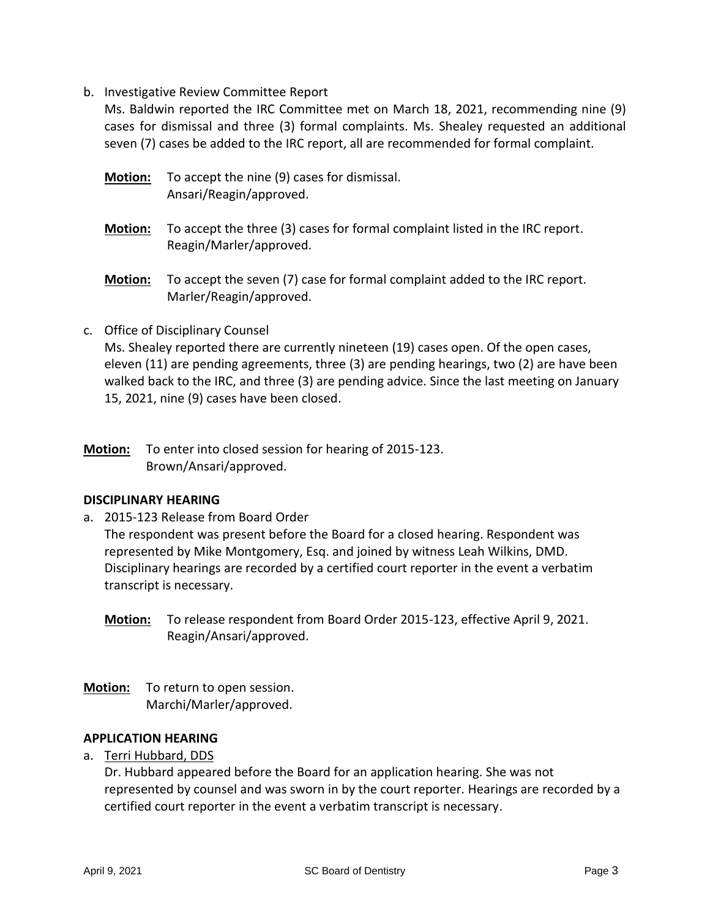b. Investigative Review Committee Report

Ms. Baldwin reported the IRC Committee met on March 18, 2021, recommending nine (9) cases for dismissal and three (3) formal complaints. Ms. Shealey requested an additional seven (7) cases be added to the IRC report, all are recommended for formal complaint.

- **Motion:** To accept the nine (9) cases for dismissal. Ansari/Reagin/approved.
- **Motion:** To accept the three (3) cases for formal complaint listed in the IRC report. Reagin/Marler/approved.
- **Motion:** To accept the seven (7) case for formal complaint added to the IRC report. Marler/Reagin/approved.
- c. Office of Disciplinary Counsel

Ms. Shealey reported there are currently nineteen (19) cases open. Of the open cases, eleven (11) are pending agreements, three (3) are pending hearings, two (2) are have been walked back to the IRC, and three (3) are pending advice. Since the last meeting on January 15, 2021, nine (9) cases have been closed.

**Motion:** To enter into closed session for hearing of 2015-123. Brown/Ansari/approved.

### **DISCIPLINARY HEARING**

a. 2015-123 Release from Board Order

The respondent was present before the Board for a closed hearing. Respondent was represented by Mike Montgomery, Esq. and joined by witness Leah Wilkins, DMD. Disciplinary hearings are recorded by a certified court reporter in the event a verbatim transcript is necessary.

- **Motion:** To release respondent from Board Order 2015-123, effective April 9, 2021. Reagin/Ansari/approved.
- **Motion:** To return to open session. Marchi/Marler/approved.

#### **APPLICATION HEARING**

a. Terri Hubbard, DDS

Dr. Hubbard appeared before the Board for an application hearing. She was not represented by counsel and was sworn in by the court reporter. Hearings are recorded by a certified court reporter in the event a verbatim transcript is necessary.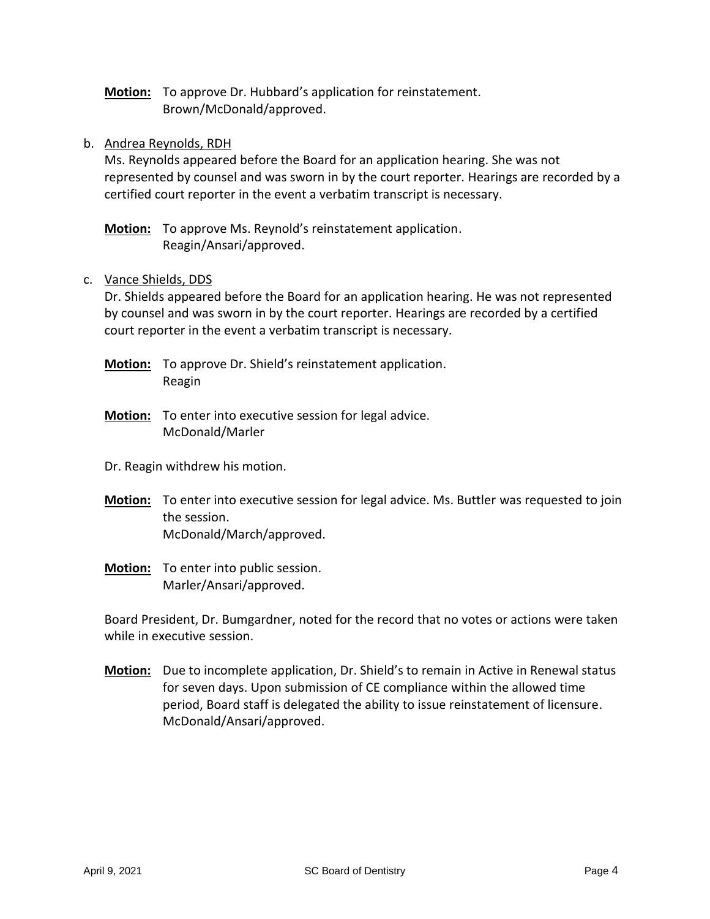**Motion:** To approve Dr. Hubbard's application for reinstatement. Brown/McDonald/approved.

### b. Andrea Reynolds, RDH

Ms. Reynolds appeared before the Board for an application hearing. She was not represented by counsel and was sworn in by the court reporter. Hearings are recorded by a certified court reporter in the event a verbatim transcript is necessary.

**Motion:** To approve Ms. Reynold's reinstatement application. Reagin/Ansari/approved.

#### c. Vance Shields, DDS

Dr. Shields appeared before the Board for an application hearing. He was not represented by counsel and was sworn in by the court reporter. Hearings are recorded by a certified court reporter in the event a verbatim transcript is necessary.

- **Motion:** To approve Dr. Shield's reinstatement application. Reagin
- **Motion:** To enter into executive session for legal advice. McDonald/Marler
- Dr. Reagin withdrew his motion.
- **Motion:** To enter into executive session for legal advice. Ms. Buttler was requested to join the session. McDonald/March/approved.
- **Motion:** To enter into public session. Marler/Ansari/approved.

Board President, Dr. Bumgardner, noted for the record that no votes or actions were taken while in executive session.

**Motion:** Due to incomplete application, Dr. Shield's to remain in Active in Renewal status for seven days. Upon submission of CE compliance within the allowed time period, Board staff is delegated the ability to issue reinstatement of licensure. McDonald/Ansari/approved.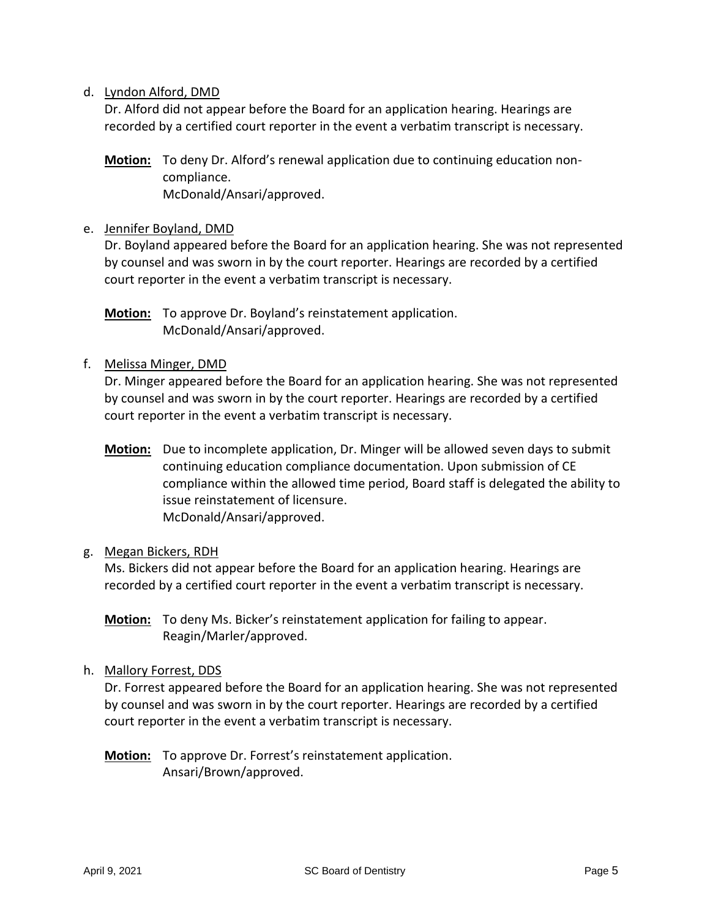#### d. Lyndon Alford, DMD

Dr. Alford did not appear before the Board for an application hearing. Hearings are recorded by a certified court reporter in the event a verbatim transcript is necessary.

**Motion:** To deny Dr. Alford's renewal application due to continuing education noncompliance. McDonald/Ansari/approved.

#### e. Jennifer Boyland, DMD

Dr. Boyland appeared before the Board for an application hearing. She was not represented by counsel and was sworn in by the court reporter. Hearings are recorded by a certified court reporter in the event a verbatim transcript is necessary.

**Motion:** To approve Dr. Boyland's reinstatement application. McDonald/Ansari/approved.

#### f. Melissa Minger, DMD

Dr. Minger appeared before the Board for an application hearing. She was not represented by counsel and was sworn in by the court reporter. Hearings are recorded by a certified court reporter in the event a verbatim transcript is necessary.

**Motion:** Due to incomplete application, Dr. Minger will be allowed seven days to submit continuing education compliance documentation. Upon submission of CE compliance within the allowed time period, Board staff is delegated the ability to issue reinstatement of licensure. McDonald/Ansari/approved.

### g. Megan Bickers, RDH

Ms. Bickers did not appear before the Board for an application hearing. Hearings are recorded by a certified court reporter in the event a verbatim transcript is necessary.

**Motion:** To deny Ms. Bicker's reinstatement application for failing to appear. Reagin/Marler/approved.

### h. Mallory Forrest, DDS

Dr. Forrest appeared before the Board for an application hearing. She was not represented by counsel and was sworn in by the court reporter. Hearings are recorded by a certified court reporter in the event a verbatim transcript is necessary.

**Motion:** To approve Dr. Forrest's reinstatement application. Ansari/Brown/approved.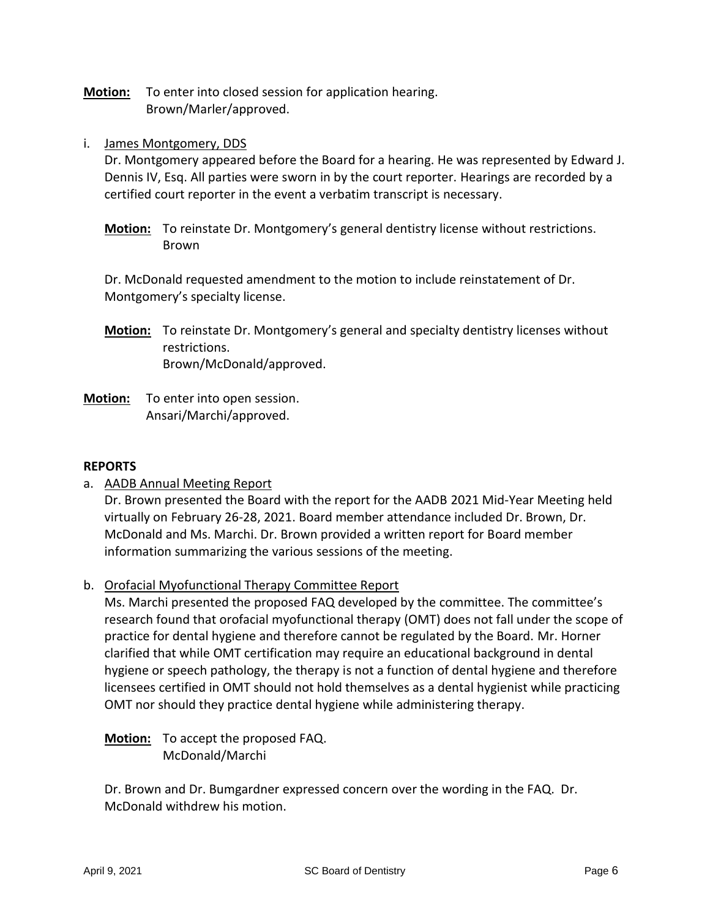**Motion:** To enter into closed session for application hearing. Brown/Marler/approved.

i. James Montgomery, DDS

Dr. Montgomery appeared before the Board for a hearing. He was represented by Edward J. Dennis IV, Esq. All parties were sworn in by the court reporter. Hearings are recorded by a certified court reporter in the event a verbatim transcript is necessary.

**Motion:** To reinstate Dr. Montgomery's general dentistry license without restrictions. Brown

Dr. McDonald requested amendment to the motion to include reinstatement of Dr. Montgomery's specialty license.

- **Motion:** To reinstate Dr. Montgomery's general and specialty dentistry licenses without restrictions. Brown/McDonald/approved.
- **Motion:** To enter into open session. Ansari/Marchi/approved.

### **REPORTS**

a. **AADB Annual Meeting Report** 

Dr. Brown presented the Board with the report for the AADB 2021 Mid-Year Meeting held virtually on February 26-28, 2021. Board member attendance included Dr. Brown, Dr. McDonald and Ms. Marchi. Dr. Brown provided a written report for Board member information summarizing the various sessions of the meeting.

b. Orofacial Myofunctional Therapy Committee Report

Ms. Marchi presented the proposed FAQ developed by the committee. The committee's research found that orofacial myofunctional therapy (OMT) does not fall under the scope of practice for dental hygiene and therefore cannot be regulated by the Board. Mr. Horner clarified that while OMT certification may require an educational background in dental hygiene or speech pathology, the therapy is not a function of dental hygiene and therefore licensees certified in OMT should not hold themselves as a dental hygienist while practicing OMT nor should they practice dental hygiene while administering therapy.

**Motion:** To accept the proposed FAQ. McDonald/Marchi

Dr. Brown and Dr. Bumgardner expressed concern over the wording in the FAQ. Dr. McDonald withdrew his motion.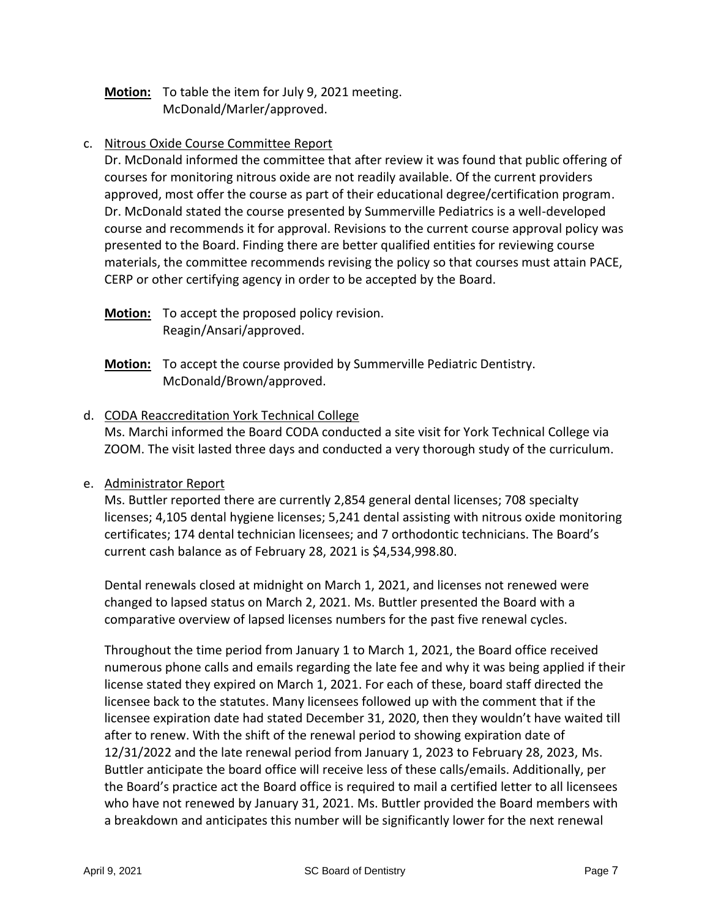### **Motion:** To table the item for July 9, 2021 meeting. McDonald/Marler/approved.

#### c. Nitrous Oxide Course Committee Report

Dr. McDonald informed the committee that after review it was found that public offering of courses for monitoring nitrous oxide are not readily available. Of the current providers approved, most offer the course as part of their educational degree/certification program. Dr. McDonald stated the course presented by Summerville Pediatrics is a well-developed course and recommends it for approval. Revisions to the current course approval policy was presented to the Board. Finding there are better qualified entities for reviewing course materials, the committee recommends revising the policy so that courses must attain PACE, CERP or other certifying agency in order to be accepted by the Board.

**Motion:** To accept the proposed policy revision. Reagin/Ansari/approved.

**Motion:** To accept the course provided by Summerville Pediatric Dentistry. McDonald/Brown/approved.

#### d. CODA Reaccreditation York Technical College

Ms. Marchi informed the Board CODA conducted a site visit for York Technical College via ZOOM. The visit lasted three days and conducted a very thorough study of the curriculum.

#### e. Administrator Report

Ms. Buttler reported there are currently 2,854 general dental licenses; 708 specialty licenses; 4,105 dental hygiene licenses; 5,241 dental assisting with nitrous oxide monitoring certificates; 174 dental technician licensees; and 7 orthodontic technicians. The Board's current cash balance as of February 28, 2021 is \$4,534,998.80.

Dental renewals closed at midnight on March 1, 2021, and licenses not renewed were changed to lapsed status on March 2, 2021. Ms. Buttler presented the Board with a comparative overview of lapsed licenses numbers for the past five renewal cycles.

Throughout the time period from January 1 to March 1, 2021, the Board office received numerous phone calls and emails regarding the late fee and why it was being applied if their license stated they expired on March 1, 2021. For each of these, board staff directed the licensee back to the statutes. Many licensees followed up with the comment that if the licensee expiration date had stated December 31, 2020, then they wouldn't have waited till after to renew. With the shift of the renewal period to showing expiration date of 12/31/2022 and the late renewal period from January 1, 2023 to February 28, 2023, Ms. Buttler anticipate the board office will receive less of these calls/emails. Additionally, per the Board's practice act the Board office is required to mail a certified letter to all licensees who have not renewed by January 31, 2021. Ms. Buttler provided the Board members with a breakdown and anticipates this number will be significantly lower for the next renewal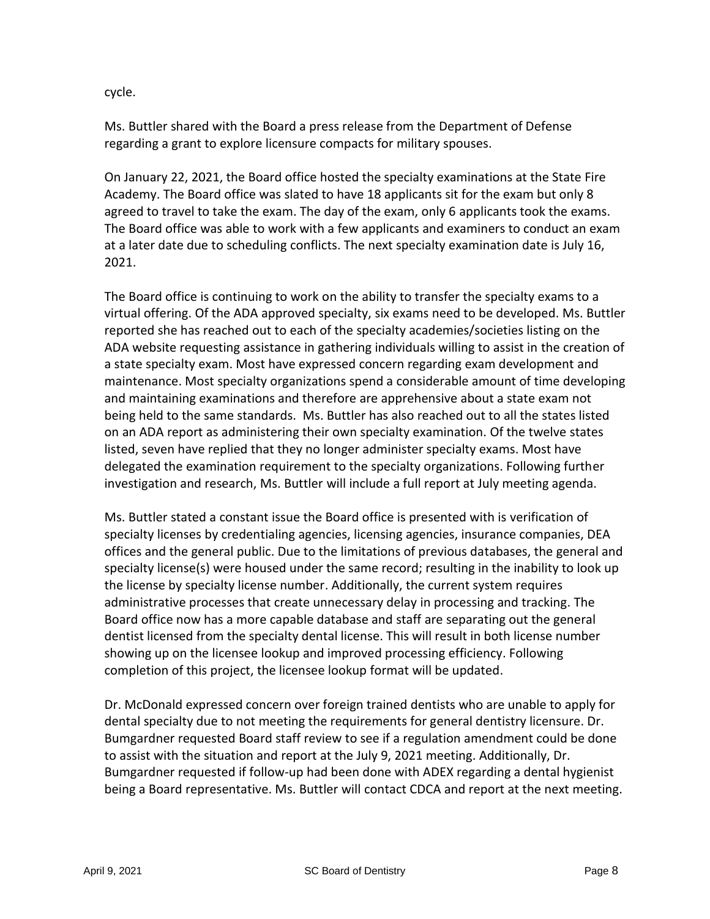cycle.

Ms. Buttler shared with the Board a press release from the Department of Defense regarding a grant to explore licensure compacts for military spouses.

On January 22, 2021, the Board office hosted the specialty examinations at the State Fire Academy. The Board office was slated to have 18 applicants sit for the exam but only 8 agreed to travel to take the exam. The day of the exam, only 6 applicants took the exams. The Board office was able to work with a few applicants and examiners to conduct an exam at a later date due to scheduling conflicts. The next specialty examination date is July 16, 2021.

The Board office is continuing to work on the ability to transfer the specialty exams to a virtual offering. Of the ADA approved specialty, six exams need to be developed. Ms. Buttler reported she has reached out to each of the specialty academies/societies listing on the ADA website requesting assistance in gathering individuals willing to assist in the creation of a state specialty exam. Most have expressed concern regarding exam development and maintenance. Most specialty organizations spend a considerable amount of time developing and maintaining examinations and therefore are apprehensive about a state exam not being held to the same standards. Ms. Buttler has also reached out to all the states listed on an ADA report as administering their own specialty examination. Of the twelve states listed, seven have replied that they no longer administer specialty exams. Most have delegated the examination requirement to the specialty organizations. Following further investigation and research, Ms. Buttler will include a full report at July meeting agenda.

Ms. Buttler stated a constant issue the Board office is presented with is verification of specialty licenses by credentialing agencies, licensing agencies, insurance companies, DEA offices and the general public. Due to the limitations of previous databases, the general and specialty license(s) were housed under the same record; resulting in the inability to look up the license by specialty license number. Additionally, the current system requires administrative processes that create unnecessary delay in processing and tracking. The Board office now has a more capable database and staff are separating out the general dentist licensed from the specialty dental license. This will result in both license number showing up on the licensee lookup and improved processing efficiency. Following completion of this project, the licensee lookup format will be updated.

Dr. McDonald expressed concern over foreign trained dentists who are unable to apply for dental specialty due to not meeting the requirements for general dentistry licensure. Dr. Bumgardner requested Board staff review to see if a regulation amendment could be done to assist with the situation and report at the July 9, 2021 meeting. Additionally, Dr. Bumgardner requested if follow-up had been done with ADEX regarding a dental hygienist being a Board representative. Ms. Buttler will contact CDCA and report at the next meeting.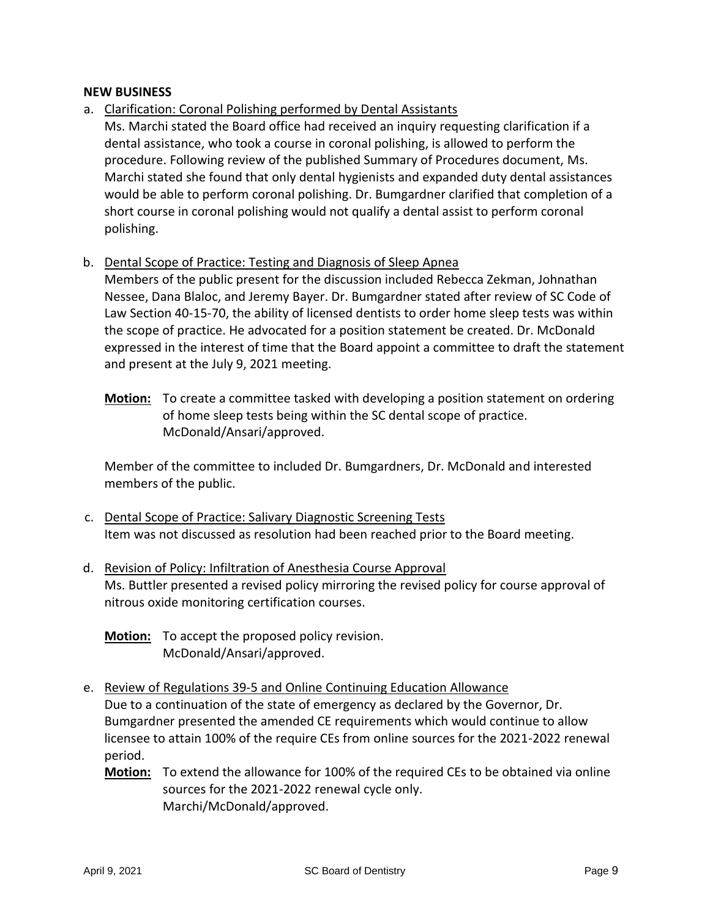#### **NEW BUSINESS**

- a. Clarification: Coronal Polishing performed by Dental Assistants
- Ms. Marchi stated the Board office had received an inquiry requesting clarification if a dental assistance, who took a course in coronal polishing, is allowed to perform the procedure. Following review of the published Summary of Procedures document, Ms. Marchi stated she found that only dental hygienists and expanded duty dental assistances would be able to perform coronal polishing. Dr. Bumgardner clarified that completion of a short course in coronal polishing would not qualify a dental assist to perform coronal polishing.

### b. Dental Scope of Practice: Testing and Diagnosis of Sleep Apnea

Members of the public present for the discussion included Rebecca Zekman, Johnathan Nessee, Dana Blaloc, and Jeremy Bayer. Dr. Bumgardner stated after review of SC Code of Law Section 40-15-70, the ability of licensed dentists to order home sleep tests was within the scope of practice. He advocated for a position statement be created. Dr. McDonald expressed in the interest of time that the Board appoint a committee to draft the statement and present at the July 9, 2021 meeting.

**Motion:** To create a committee tasked with developing a position statement on ordering of home sleep tests being within the SC dental scope of practice. McDonald/Ansari/approved.

Member of the committee to included Dr. Bumgardners, Dr. McDonald and interested members of the public.

- c. Dental Scope of Practice: Salivary Diagnostic Screening Tests Item was not discussed as resolution had been reached prior to the Board meeting.
- d. Revision of Policy: Infiltration of Anesthesia Course Approval Ms. Buttler presented a revised policy mirroring the revised policy for course approval of nitrous oxide monitoring certification courses.

**Motion:** To accept the proposed policy revision. McDonald/Ansari/approved.

- e. Review of Regulations 39-5 and Online Continuing Education Allowance Due to a continuation of the state of emergency as declared by the Governor, Dr. Bumgardner presented the amended CE requirements which would continue to allow licensee to attain 100% of the require CEs from online sources for the 2021-2022 renewal period.
	- **Motion:** To extend the allowance for 100% of the required CEs to be obtained via online sources for the 2021-2022 renewal cycle only. Marchi/McDonald/approved.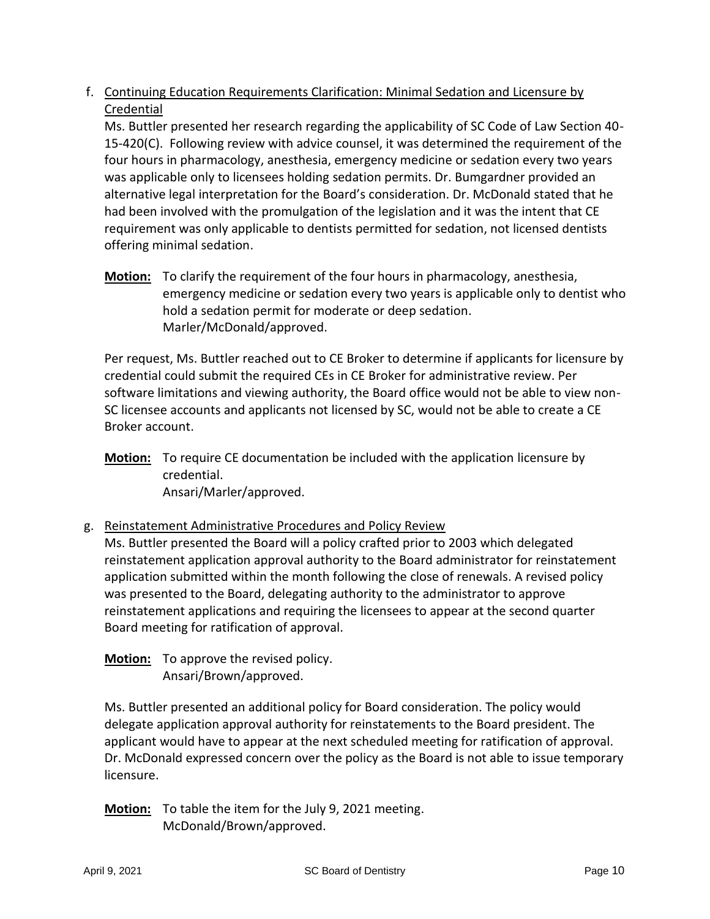# f. Continuing Education Requirements Clarification: Minimal Sedation and Licensure by Credential

Ms. Buttler presented her research regarding the applicability of SC Code of Law Section 40- 15-420(C). Following review with advice counsel, it was determined the requirement of the four hours in pharmacology, anesthesia, emergency medicine or sedation every two years was applicable only to licensees holding sedation permits. Dr. Bumgardner provided an alternative legal interpretation for the Board's consideration. Dr. McDonald stated that he had been involved with the promulgation of the legislation and it was the intent that CE requirement was only applicable to dentists permitted for sedation, not licensed dentists offering minimal sedation.

**Motion:** To clarify the requirement of the four hours in pharmacology, anesthesia, emergency medicine or sedation every two years is applicable only to dentist who hold a sedation permit for moderate or deep sedation. Marler/McDonald/approved.

Per request, Ms. Buttler reached out to CE Broker to determine if applicants for licensure by credential could submit the required CEs in CE Broker for administrative review. Per software limitations and viewing authority, the Board office would not be able to view non-SC licensee accounts and applicants not licensed by SC, would not be able to create a CE Broker account.

**Motion:** To require CE documentation be included with the application licensure by credential. Ansari/Marler/approved.

## g. Reinstatement Administrative Procedures and Policy Review

Ms. Buttler presented the Board will a policy crafted prior to 2003 which delegated reinstatement application approval authority to the Board administrator for reinstatement application submitted within the month following the close of renewals. A revised policy was presented to the Board, delegating authority to the administrator to approve reinstatement applications and requiring the licensees to appear at the second quarter Board meeting for ratification of approval.

**Motion:** To approve the revised policy. Ansari/Brown/approved.

Ms. Buttler presented an additional policy for Board consideration. The policy would delegate application approval authority for reinstatements to the Board president. The applicant would have to appear at the next scheduled meeting for ratification of approval. Dr. McDonald expressed concern over the policy as the Board is not able to issue temporary licensure.

**Motion:** To table the item for the July 9, 2021 meeting. McDonald/Brown/approved.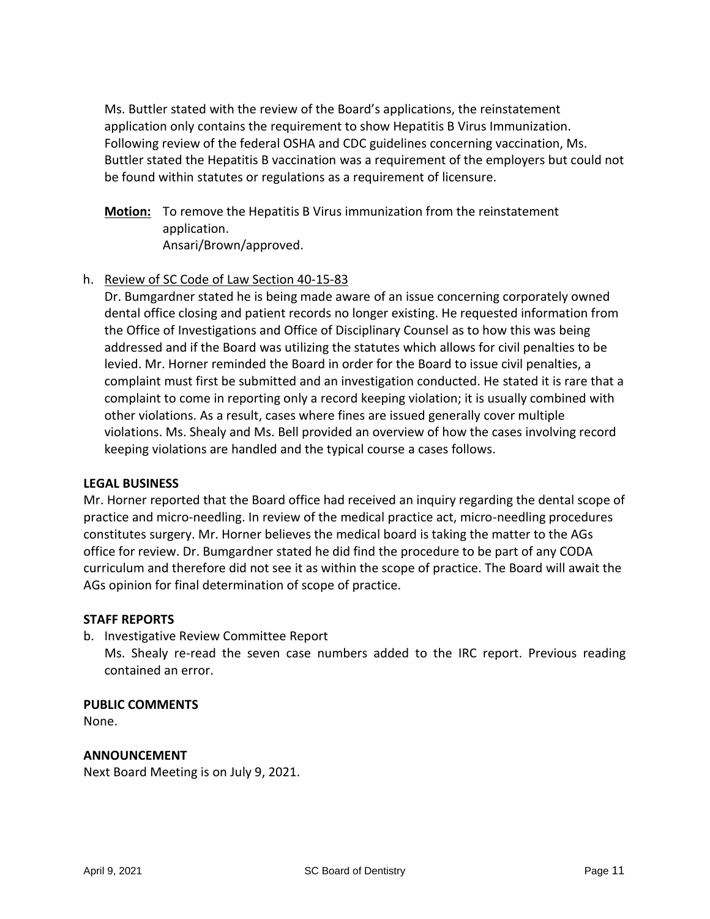Ms. Buttler stated with the review of the Board's applications, the reinstatement application only contains the requirement to show Hepatitis B Virus Immunization. Following review of the federal OSHA and CDC guidelines concerning vaccination, Ms. Buttler stated the Hepatitis B vaccination was a requirement of the employers but could not be found within statutes or regulations as a requirement of licensure.

**Motion:** To remove the Hepatitis B Virus immunization from the reinstatement application. Ansari/Brown/approved.

### h. Review of SC Code of Law Section 40-15-83

Dr. Bumgardner stated he is being made aware of an issue concerning corporately owned dental office closing and patient records no longer existing. He requested information from the Office of Investigations and Office of Disciplinary Counsel as to how this was being addressed and if the Board was utilizing the statutes which allows for civil penalties to be levied. Mr. Horner reminded the Board in order for the Board to issue civil penalties, a complaint must first be submitted and an investigation conducted. He stated it is rare that a complaint to come in reporting only a record keeping violation; it is usually combined with other violations. As a result, cases where fines are issued generally cover multiple violations. Ms. Shealy and Ms. Bell provided an overview of how the cases involving record keeping violations are handled and the typical course a cases follows.

### **LEGAL BUSINESS**

Mr. Horner reported that the Board office had received an inquiry regarding the dental scope of practice and micro-needling. In review of the medical practice act, micro-needling procedures constitutes surgery. Mr. Horner believes the medical board is taking the matter to the AGs office for review. Dr. Bumgardner stated he did find the procedure to be part of any CODA curriculum and therefore did not see it as within the scope of practice. The Board will await the AGs opinion for final determination of scope of practice.

### **STAFF REPORTS**

b. Investigative Review Committee Report

Ms. Shealy re-read the seven case numbers added to the IRC report. Previous reading contained an error.

### **PUBLIC COMMENTS**

None.

### **ANNOUNCEMENT**

Next Board Meeting is on July 9, 2021.